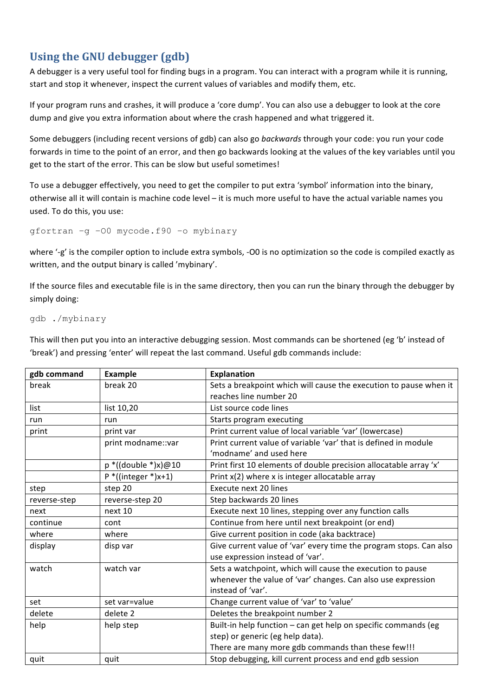## **Using the GNU debugger (gdb)**

A debugger is a very useful tool for finding bugs in a program. You can interact with a program while it is running, start and stop it whenever, inspect the current values of variables and modify them, etc.

If your program runs and crashes, it will produce a 'core dump'. You can also use a debugger to look at the core dump and give you extra information about where the crash happened and what triggered it.

Some debuggers (including recent versions of gdb) can also go *backwards* through your code: you run your code forwards in time to the point of an error, and then go backwards looking at the values of the key variables until you get to the start of the error. This can be slow but useful sometimes!

To use a debugger effectively, you need to get the compiler to put extra 'symbol' information into the binary, otherwise all it will contain is machine code level – it is much more useful to have the actual variable names you used. To do this, you use:

gfortran –g –O0 mycode.f90 –o mybinary

where '-g' is the compiler option to include extra symbols, -O0 is no optimization so the code is compiled exactly as written, and the output binary is called 'mybinary'.

If the source files and executable file is in the same directory, then you can run the binary through the debugger by simply doing:

gdb ./mybinary

This will then put you into an interactive debugging session. Most commands can be shortened (eg 'b' instead of 'break') and pressing 'enter' will repeat the last command. Useful gdb commands include:

| gdb command  | Example                | <b>Explanation</b>                                                 |
|--------------|------------------------|--------------------------------------------------------------------|
| break        | break 20               | Sets a breakpoint which will cause the execution to pause when it  |
|              |                        | reaches line number 20                                             |
| list         | list 10,20             | List source code lines                                             |
| run          | run                    | Starts program executing                                           |
| print        | print var              | Print current value of local variable 'var' (lowercase)            |
|              | print modname::var     | Print current value of variable 'var' that is defined in module    |
|              |                        | 'modname' and used here                                            |
|              | $p^*((double * )x)@10$ | Print first 10 elements of double precision allocatable array 'x'  |
|              | $P^*$ ((integer *)x+1) | Print x(2) where x is integer allocatable array                    |
| step         | step 20                | Execute next 20 lines                                              |
| reverse-step | reverse-step 20        | Step backwards 20 lines                                            |
| next         | next 10                | Execute next 10 lines, stepping over any function calls            |
| continue     | cont                   | Continue from here until next breakpoint (or end)                  |
| where        | where                  | Give current position in code (aka backtrace)                      |
| display      | disp var               | Give current value of 'var' every time the program stops. Can also |
|              |                        | use expression instead of 'var'.                                   |
| watch        | watch var              | Sets a watchpoint, which will cause the execution to pause         |
|              |                        | whenever the value of 'var' changes. Can also use expression       |
|              |                        | instead of 'var'.                                                  |
| set          | set var=value          | Change current value of 'var' to 'value'                           |
| delete       | delete 2               | Deletes the breakpoint number 2                                    |
| help         | help step              | Built-in help function - can get help on specific commands (eg     |
|              |                        | step) or generic (eg help data).                                   |
|              |                        | There are many more gdb commands than these few!!!                 |
| quit         | quit                   | Stop debugging, kill current process and end gdb session           |